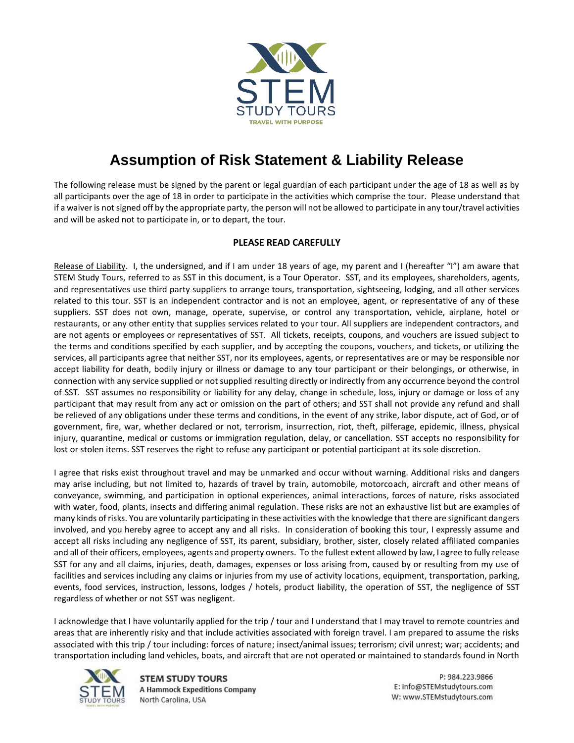

## **Assumption of Risk Statement & Liability Release**

The following release must be signed by the parent or legal guardian of each participant under the age of 18 as well as by all participants over the age of 18 in order to participate in the activities which comprise the tour. Please understand that if a waiver is not signed off by the appropriate party, the person will not be allowed to participate in any tour/travel activities and will be asked not to participate in, or to depart, the tour.

## **PLEASE READ CAREFULLY**

Release of Liability. I, the undersigned, and if I am under 18 years of age, my parent and I (hereafter "I") am aware that STEM Study Tours, referred to as SST in this document, is a Tour Operator. SST, and its employees, shareholders, agents, and representatives use third party suppliers to arrange tours, transportation, sightseeing, lodging, and all other services related to this tour. SST is an independent contractor and is not an employee, agent, or representative of any of these suppliers. SST does not own, manage, operate, supervise, or control any transportation, vehicle, airplane, hotel or restaurants, or any other entity that supplies services related to your tour. All suppliers are independent contractors, and are not agents or employees or representatives of SST. All tickets, receipts, coupons, and vouchers are issued subject to the terms and conditions specified by each supplier, and by accepting the coupons, vouchers, and tickets, or utilizing the services, all participants agree that neither SST, nor its employees, agents, or representatives are or may be responsible nor accept liability for death, bodily injury or illness or damage to any tour participant or their belongings, or otherwise, in connection with any service supplied or not supplied resulting directly or indirectly from any occurrence beyond the control of SST. SST assumes no responsibility or liability for any delay, change in schedule, loss, injury or damage or loss of any participant that may result from any act or omission on the part of others; and SST shall not provide any refund and shall be relieved of any obligations under these terms and conditions, in the event of any strike, labor dispute, act of God, or of government, fire, war, whether declared or not, terrorism, insurrection, riot, theft, pilferage, epidemic, illness, physical injury, quarantine, medical or customs or immigration regulation, delay, or cancellation. SST accepts no responsibility for lost or stolen items. SST reserves the right to refuse any participant or potential participant at its sole discretion.

I agree that risks exist throughout travel and may be unmarked and occur without warning. Additional risks and dangers may arise including, but not limited to, hazards of travel by train, automobile, motorcoach, aircraft and other means of conveyance, swimming, and participation in optional experiences, animal interactions, forces of nature, risks associated with water, food, plants, insects and differing animal regulation. These risks are not an exhaustive list but are examples of many kinds of risks. You are voluntarily participating in these activities with the knowledge that there are significant dangers involved, and you hereby agree to accept any and all risks. In consideration of booking this tour, I expressly assume and accept all risks including any negligence of SST, its parent, subsidiary, brother, sister, closely related affiliated companies and all of their officers, employees, agents and property owners. To the fullest extent allowed by law, I agree to fully release SST for any and all claims, injuries, death, damages, expenses or loss arising from, caused by or resulting from my use of facilities and services including any claims or injuries from my use of activity locations, equipment, transportation, parking, events, food services, instruction, lessons, lodges / hotels, product liability, the operation of SST, the negligence of SST regardless of whether or not SST was negligent.

I acknowledge that I have voluntarily applied for the trip / tour and I understand that I may travel to remote countries and areas that are inherently risky and that include activities associated with foreign travel. I am prepared to assume the risks associated with this trip / tour including: forces of nature; insect/animal issues; terrorism; civil unrest; war; accidents; and transportation including land vehicles, boats, and aircraft that are not operated or maintained to standards found in North



**STEM STUDY TOURS A Hammock Expeditions Company** North Carolina, USA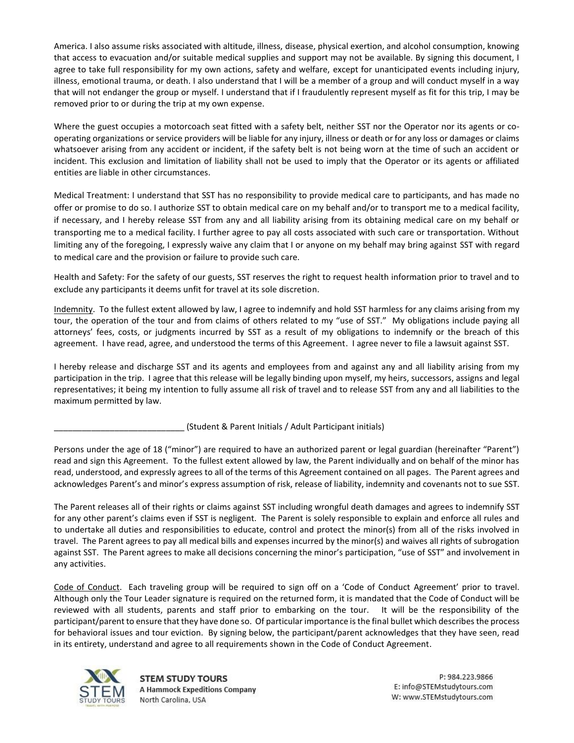America. I also assume risks associated with altitude, illness, disease, physical exertion, and alcohol consumption, knowing that access to evacuation and/or suitable medical supplies and support may not be available. By signing this document, I agree to take full responsibility for my own actions, safety and welfare, except for unanticipated events including injury, illness, emotional trauma, or death. I also understand that I will be a member of a group and will conduct myself in a way that will not endanger the group or myself. I understand that if I fraudulently represent myself as fit for this trip, I may be removed prior to or during the trip at my own expense.

Where the guest occupies a motorcoach seat fitted with a safety belt, neither SST nor the Operator nor its agents or cooperating organizations or service providers will be liable for any injury, illness or death or for any loss or damages or claims whatsoever arising from any accident or incident, if the safety belt is not being worn at the time of such an accident or incident. This exclusion and limitation of liability shall not be used to imply that the Operator or its agents or affiliated entities are liable in other circumstances.

Medical Treatment: I understand that SST has no responsibility to provide medical care to participants, and has made no offer or promise to do so. I authorize SST to obtain medical care on my behalf and/or to transport me to a medical facility, if necessary, and I hereby release SST from any and all liability arising from its obtaining medical care on my behalf or transporting me to a medical facility. I further agree to pay all costs associated with such care or transportation. Without limiting any of the foregoing, I expressly waive any claim that I or anyone on my behalf may bring against SST with regard to medical care and the provision or failure to provide such care.

Health and Safety: For the safety of our guests, SST reserves the right to request health information prior to travel and to exclude any participants it deems unfit for travel at its sole discretion.

Indemnity. To the fullest extent allowed by law, I agree to indemnify and hold SST harmless for any claims arising from my tour, the operation of the tour and from claims of others related to my "use of SST." My obligations include paying all attorneys' fees, costs, or judgments incurred by SST as a result of my obligations to indemnify or the breach of this agreement. I have read, agree, and understood the terms of this Agreement. I agree never to file a lawsuit against SST.

I hereby release and discharge SST and its agents and employees from and against any and all liability arising from my participation in the trip. I agree that this release will be legally binding upon myself, my heirs, successors, assigns and legal representatives; it being my intention to fully assume all risk of travel and to release SST from any and all liabilities to the maximum permitted by law.

\_\_\_\_\_\_\_\_\_\_\_\_\_\_\_\_\_\_\_\_\_\_\_\_\_\_\_\_ (Student & Parent Initials / Adult Participant initials)

Persons under the age of 18 ("minor") are required to have an authorized parent or legal guardian (hereinafter "Parent") read and sign this Agreement. To the fullest extent allowed by law, the Parent individually and on behalf of the minor has read, understood, and expressly agrees to all of the terms of this Agreement contained on all pages. The Parent agrees and acknowledges Parent's and minor's express assumption of risk, release of liability, indemnity and covenants not to sue SST.

The Parent releases all of their rights or claims against SST including wrongful death damages and agrees to indemnify SST for any other parent's claims even if SST is negligent. The Parent is solely responsible to explain and enforce all rules and to undertake all duties and responsibilities to educate, control and protect the minor(s) from all of the risks involved in travel. The Parent agrees to pay all medical bills and expenses incurred by the minor(s) and waives all rights of subrogation against SST. The Parent agrees to make all decisions concerning the minor's participation, "use of SST" and involvement in any activities.

Code of Conduct. Each traveling group will be required to sign off on a 'Code of Conduct Agreement' prior to travel. Although only the Tour Leader signature is required on the returned form, it is mandated that the Code of Conduct will be reviewed with all students, parents and staff prior to embarking on the tour. It will be the responsibility of the participant/parent to ensure that they have done so. Of particular importance is the final bullet which describes the process for behavioral issues and tour eviction. By signing below, the participant/parent acknowledges that they have seen, read in its entirety, understand and agree to all requirements shown in the Code of Conduct Agreement.



**STEM STUDY TOURS A Hammock Expeditions Company** North Carolina, USA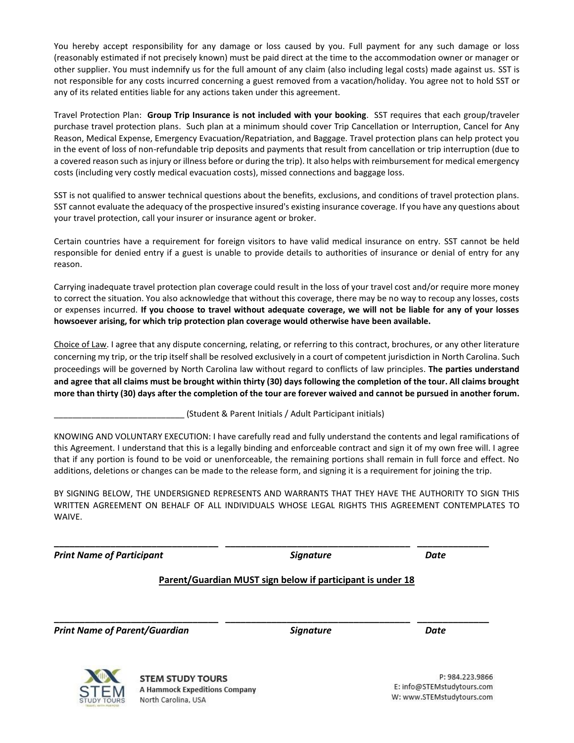You hereby accept responsibility for any damage or loss caused by you. Full payment for any such damage or loss (reasonably estimated if not precisely known) must be paid direct at the time to the accommodation owner or manager or other supplier. You must indemnify us for the full amount of any claim (also including legal costs) made against us. SST is not responsible for any costs incurred concerning a guest removed from a vacation/holiday. You agree not to hold SST or any of its related entities liable for any actions taken under this agreement.

Travel Protection Plan: **Group Trip Insurance is not included with your booking**. SST requires that each group/traveler purchase travel protection plans. Such plan at a minimum should cover Trip Cancellation or Interruption, Cancel for Any Reason, Medical Expense, Emergency Evacuation/Repatriation, and Baggage. Travel protection plans can help protect you in the event of loss of non-refundable trip deposits and payments that result from cancellation or trip interruption (due to a covered reason such as injury or illness before or during the trip). It also helps with reimbursement for medical emergency costs (including very costly medical evacuation costs), missed connections and baggage loss.

SST is not qualified to answer technical questions about the benefits, exclusions, and conditions of travel protection plans. SST cannot evaluate the adequacy of the prospective insured's existing insurance coverage. If you have any questions about your travel protection, call your insurer or insurance agent or broker.

Certain countries have a requirement for foreign visitors to have valid medical insurance on entry. SST cannot be held responsible for denied entry if a guest is unable to provide details to authorities of insurance or denial of entry for any reason.

Carrying inadequate travel protection plan coverage could result in the loss of your travel cost and/or require more money to correct the situation. You also acknowledge that without this coverage, there may be no way to recoup any losses, costs or expenses incurred. **If you choose to travel without adequate coverage, we will not be liable for any of your losses howsoever arising, for which trip protection plan coverage would otherwise have been available.**

Choice of Law. I agree that any dispute concerning, relating, or referring to this contract, brochures, or any other literature concerning my trip, or the trip itself shall be resolved exclusively in a court of competent jurisdiction in North Carolina. Such proceedings will be governed by North Carolina law without regard to conflicts of law principles. **The parties understand and agree that all claims must be brought within thirty (30) days following the completion of the tour. All claims brought more than thirty (30) days after the completion of the tour are forever waived and cannot be pursued in another forum.**

(Student & Parent Initials / Adult Participant initials)

KNOWING AND VOLUNTARY EXECUTION: I have carefully read and fully understand the contents and legal ramifications of this Agreement. I understand that this is a legally binding and enforceable contract and sign it of my own free will. I agree that if any portion is found to be void or unenforceable, the remaining portions shall remain in full force and effect. No additions, deletions or changes can be made to the release form, and signing it is a requirement for joining the trip.

BY SIGNING BELOW, THE UNDERSIGNED REPRESENTS AND WARRANTS THAT THEY HAVE THE AUTHORITY TO SIGN THIS WRITTEN AGREEMENT ON BEHALF OF ALL INDIVIDUALS WHOSE LEGAL RIGHTS THIS AGREEMENT CONTEMPLATES TO WAIVE.

*Print Name of Participant Signature Date*

## **Parent/Guardian MUST sign below if participant is under 18**

**\_\_\_\_\_\_\_\_\_\_\_\_\_\_\_\_\_\_\_\_\_\_\_\_\_\_\_\_\_\_\_\_ \_\_\_\_\_\_\_\_\_\_\_\_\_\_\_\_\_\_\_\_\_\_\_\_\_\_\_\_\_\_\_\_\_\_\_\_ \_\_\_\_\_\_\_\_\_\_\_\_\_\_**

**\_\_\_\_\_\_\_\_\_\_\_\_\_\_\_\_\_\_\_\_\_\_\_\_\_\_\_\_\_\_\_\_ \_\_\_\_\_\_\_\_\_\_\_\_\_\_\_\_\_\_\_\_\_\_\_\_\_\_\_\_\_\_\_\_\_\_\_\_ \_\_\_\_\_\_\_\_\_\_\_\_\_\_**

*Print Name of Parent/Guardian Signature Date*



**STEM STUDY TOURS** A Hammock Expeditions Company North Carolina, USA